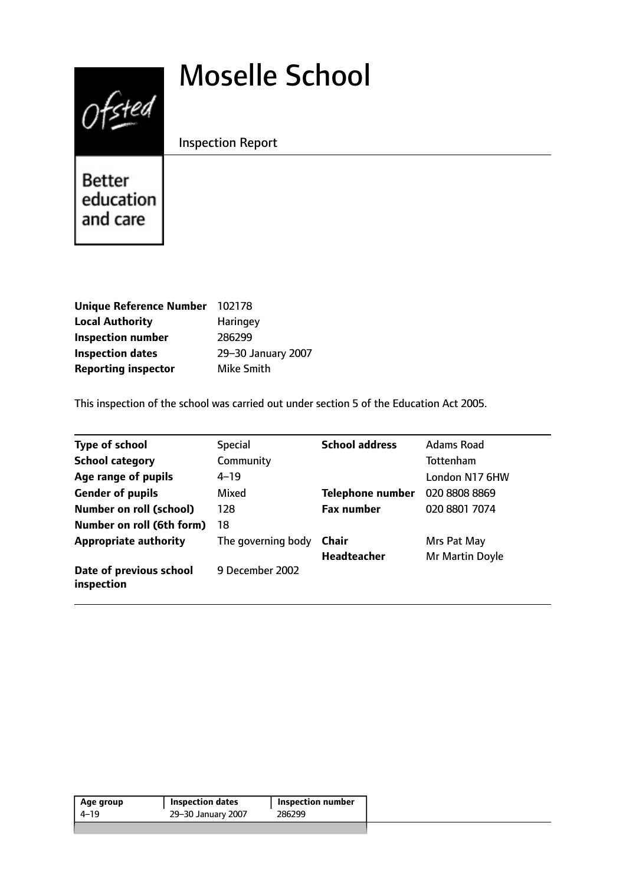# Moselle School



Inspection Report

Better education and care

| <b>Unique Reference Number</b> | 102178             |
|--------------------------------|--------------------|
| <b>Local Authority</b>         | Haringey           |
| <b>Inspection number</b>       | 286299             |
| <b>Inspection dates</b>        | 29-30 January 2007 |
| <b>Reporting inspector</b>     | Mike Smith         |

This inspection of the school was carried out under section 5 of the Education Act 2005.

| <b>Type of school</b>                 | <b>Special</b>     | <b>School address</b>   | <b>Adams Road</b> |
|---------------------------------------|--------------------|-------------------------|-------------------|
| <b>School category</b>                | Community          |                         | Tottenham         |
| Age range of pupils                   | $4 - 19$           |                         | London N17 6HW    |
| <b>Gender of pupils</b>               | Mixed              | <b>Telephone number</b> | 020 8808 8869     |
| <b>Number on roll (school)</b>        | 128                | <b>Fax number</b>       | 020 8801 7074     |
| Number on roll (6th form)             | 18                 |                         |                   |
| <b>Appropriate authority</b>          | The governing body | Chair                   | Mrs Pat May       |
|                                       |                    | <b>Headteacher</b>      | Mr Martin Doyle   |
| Date of previous school<br>inspection | 9 December 2002    |                         |                   |

| Age group | Inspection dates   | Inspection number |
|-----------|--------------------|-------------------|
| 4–19      | 29–30 January 2007 | 286299            |
|           |                    |                   |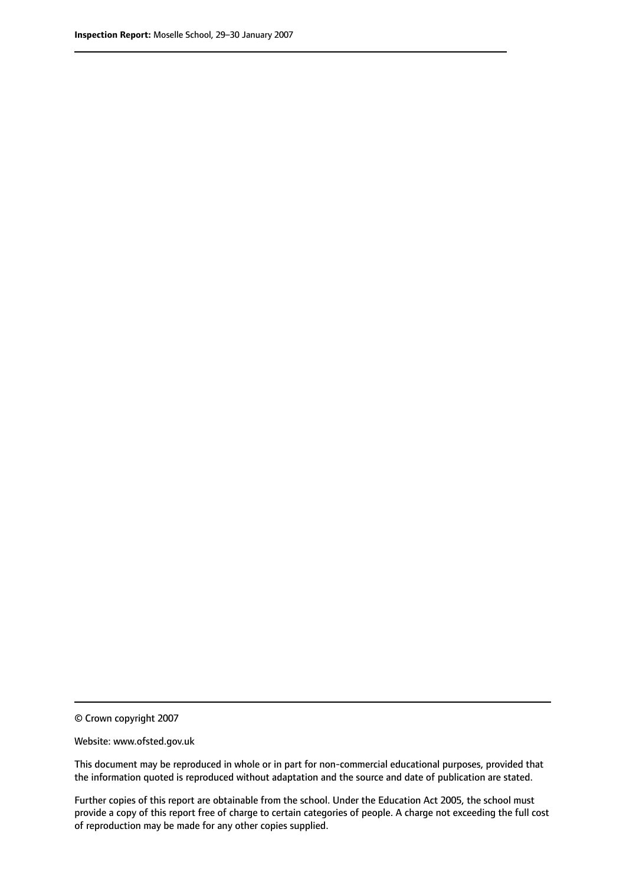© Crown copyright 2007

Website: www.ofsted.gov.uk

This document may be reproduced in whole or in part for non-commercial educational purposes, provided that the information quoted is reproduced without adaptation and the source and date of publication are stated.

Further copies of this report are obtainable from the school. Under the Education Act 2005, the school must provide a copy of this report free of charge to certain categories of people. A charge not exceeding the full cost of reproduction may be made for any other copies supplied.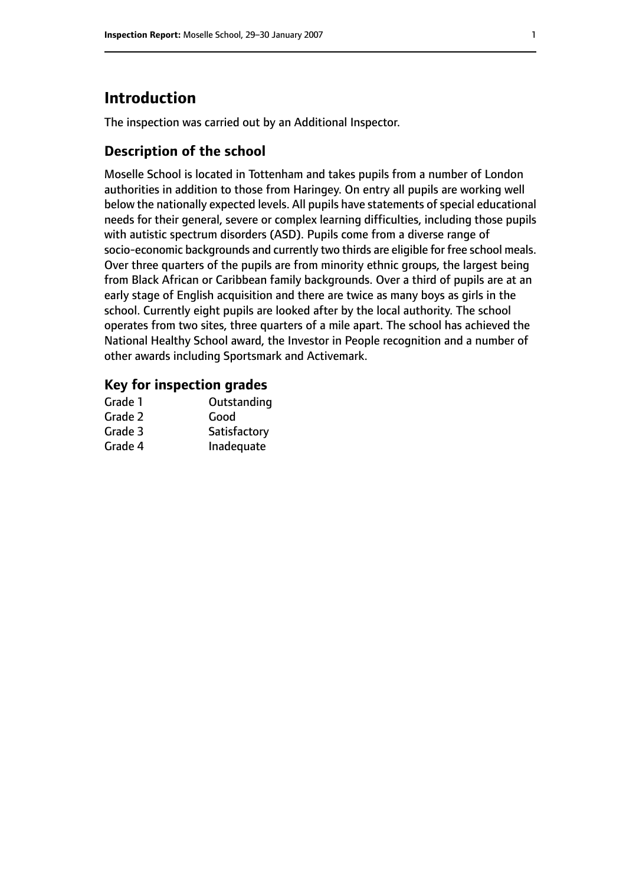# **Introduction**

The inspection was carried out by an Additional Inspector.

## **Description of the school**

Moselle School is located in Tottenham and takes pupils from a number of London authorities in addition to those from Haringey. On entry all pupils are working well below the nationally expected levels. All pupils have statements of special educational needs for their general, severe or complex learning difficulties, including those pupils with autistic spectrum disorders (ASD). Pupils come from a diverse range of socio-economic backgrounds and currently two thirds are eligible for free school meals. Over three quarters of the pupils are from minority ethnic groups, the largest being from Black African or Caribbean family backgrounds. Over a third of pupils are at an early stage of English acquisition and there are twice as many boys as girls in the school. Currently eight pupils are looked after by the local authority. The school operates from two sites, three quarters of a mile apart. The school has achieved the National Healthy School award, the Investor in People recognition and a number of other awards including Sportsmark and Activemark.

### **Key for inspection grades**

| Grade 1 | Outstanding  |
|---------|--------------|
| Grade 2 | Good         |
| Grade 3 | Satisfactory |
| Grade 4 | Inadequate   |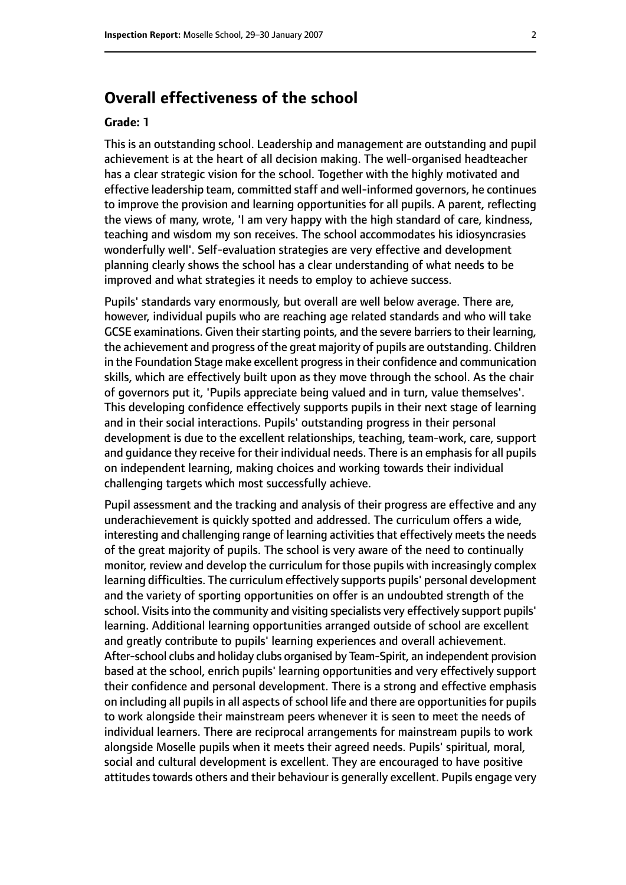# **Overall effectiveness of the school**

#### **Grade: 1**

This is an outstanding school. Leadership and management are outstanding and pupil achievement is at the heart of all decision making. The well-organised headteacher has a clear strategic vision for the school. Together with the highly motivated and effective leadership team, committed staff and well-informed governors, he continues to improve the provision and learning opportunities for all pupils. A parent, reflecting the views of many, wrote, 'I am very happy with the high standard of care, kindness, teaching and wisdom my son receives. The school accommodates his idiosyncrasies wonderfully well'. Self-evaluation strategies are very effective and development planning clearly shows the school has a clear understanding of what needs to be improved and what strategies it needs to employ to achieve success.

Pupils' standards vary enormously, but overall are well below average. There are, however, individual pupils who are reaching age related standards and who will take GCSE examinations. Given their starting points, and the severe barriers to their learning, the achievement and progress of the great majority of pupils are outstanding. Children in the Foundation Stage make excellent progress in their confidence and communication skills, which are effectively built upon as they move through the school. As the chair of governors put it, 'Pupils appreciate being valued and in turn, value themselves'. This developing confidence effectively supports pupils in their next stage of learning and in their social interactions. Pupils' outstanding progress in their personal development is due to the excellent relationships, teaching, team-work, care, support and quidance they receive for their individual needs. There is an emphasis for all pupils on independent learning, making choices and working towards their individual challenging targets which most successfully achieve.

Pupil assessment and the tracking and analysis of their progress are effective and any underachievement is quickly spotted and addressed. The curriculum offers a wide, interesting and challenging range of learning activities that effectively meets the needs of the great majority of pupils. The school is very aware of the need to continually monitor, review and develop the curriculum for those pupils with increasingly complex learning difficulties. The curriculum effectively supports pupils' personal development and the variety of sporting opportunities on offer is an undoubted strength of the school. Visits into the community and visiting specialists very effectively support pupils' learning. Additional learning opportunities arranged outside of school are excellent and greatly contribute to pupils' learning experiences and overall achievement. After-school clubs and holiday clubs organised by Team-Spirit, an independent provision based at the school, enrich pupils' learning opportunities and very effectively support their confidence and personal development. There is a strong and effective emphasis on including all pupils in all aspects of school life and there are opportunities for pupils to work alongside their mainstream peers whenever it is seen to meet the needs of individual learners. There are reciprocal arrangements for mainstream pupils to work alongside Moselle pupils when it meets their agreed needs. Pupils' spiritual, moral, social and cultural development is excellent. They are encouraged to have positive attitudes towards others and their behaviour is generally excellent. Pupils engage very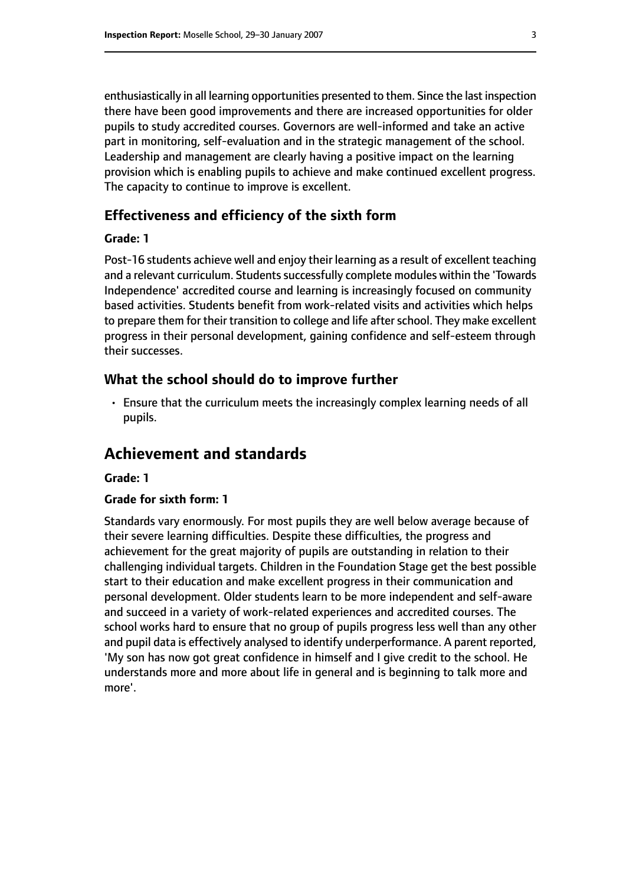enthusiastically in all learning opportunities presented to them. Since the last inspection there have been good improvements and there are increased opportunities for older pupils to study accredited courses. Governors are well-informed and take an active part in monitoring, self-evaluation and in the strategic management of the school. Leadership and management are clearly having a positive impact on the learning provision which is enabling pupils to achieve and make continued excellent progress. The capacity to continue to improve is excellent.

## **Effectiveness and efficiency of the sixth form**

#### **Grade: 1**

Post-16 students achieve well and enjoy their learning as a result of excellent teaching and a relevant curriculum. Students successfully complete modules within the 'Towards Independence' accredited course and learning is increasingly focused on community based activities. Students benefit from work-related visits and activities which helps to prepare them for their transition to college and life after school. They make excellent progress in their personal development, gaining confidence and self-esteem through their successes.

#### **What the school should do to improve further**

• Ensure that the curriculum meets the increasingly complex learning needs of all pupils.

## **Achievement and standards**

#### **Grade: 1**

#### **Grade for sixth form: 1**

Standards vary enormously. For most pupils they are well below average because of their severe learning difficulties. Despite these difficulties, the progress and achievement for the great majority of pupils are outstanding in relation to their challenging individual targets. Children in the Foundation Stage get the best possible start to their education and make excellent progress in their communication and personal development. Older students learn to be more independent and self-aware and succeed in a variety of work-related experiences and accredited courses. The school works hard to ensure that no group of pupils progress less well than any other and pupil data is effectively analysed to identify underperformance. A parent reported, 'My son has now got great confidence in himself and I give credit to the school. He understands more and more about life in general and is beginning to talk more and more'.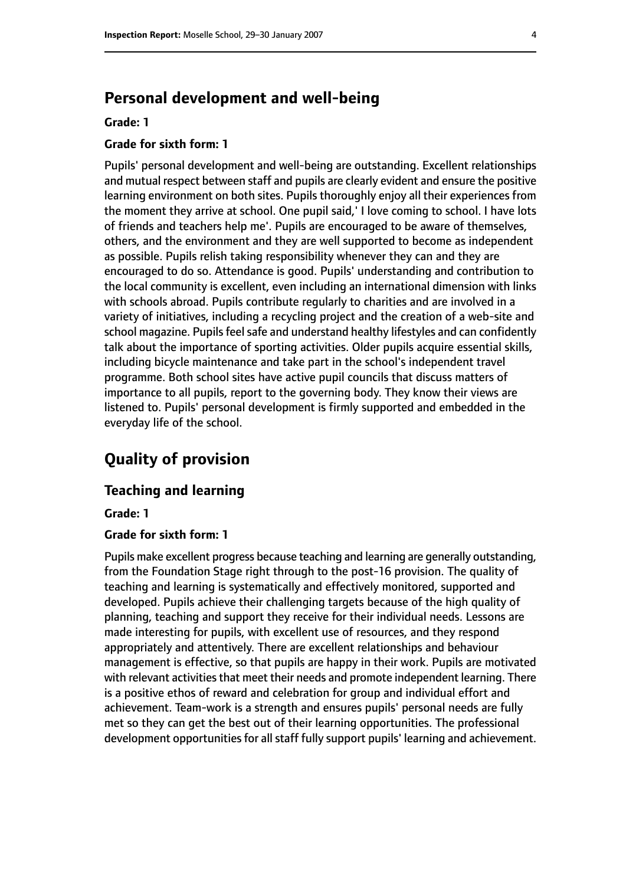# **Personal development and well-being**

#### **Grade: 1**

#### **Grade for sixth form: 1**

Pupils' personal development and well-being are outstanding. Excellent relationships and mutual respect between staff and pupils are clearly evident and ensure the positive learning environment on both sites. Pupils thoroughly enjoy all their experiences from the moment they arrive at school. One pupil said,' I love coming to school. I have lots of friends and teachers help me'. Pupils are encouraged to be aware of themselves, others, and the environment and they are well supported to become as independent as possible. Pupils relish taking responsibility whenever they can and they are encouraged to do so. Attendance is good. Pupils' understanding and contribution to the local community is excellent, even including an international dimension with links with schools abroad. Pupils contribute regularly to charities and are involved in a variety of initiatives, including a recycling project and the creation of a web-site and school magazine. Pupils feel safe and understand healthy lifestyles and can confidently talk about the importance of sporting activities. Older pupils acquire essential skills, including bicycle maintenance and take part in the school's independent travel programme. Both school sites have active pupil councils that discuss matters of importance to all pupils, report to the governing body. They know their views are listened to. Pupils' personal development is firmly supported and embedded in the everyday life of the school.

# **Quality of provision**

#### **Teaching and learning**

**Grade: 1**

#### **Grade for sixth form: 1**

Pupils make excellent progress because teaching and learning are generally outstanding, from the Foundation Stage right through to the post-16 provision. The quality of teaching and learning is systematically and effectively monitored, supported and developed. Pupils achieve their challenging targets because of the high quality of planning, teaching and support they receive for their individual needs. Lessons are made interesting for pupils, with excellent use of resources, and they respond appropriately and attentively. There are excellent relationships and behaviour management is effective, so that pupils are happy in their work. Pupils are motivated with relevant activities that meet their needs and promote independent learning. There is a positive ethos of reward and celebration for group and individual effort and achievement. Team-work is a strength and ensures pupils' personal needs are fully met so they can get the best out of their learning opportunities. The professional development opportunities for all staff fully support pupils' learning and achievement.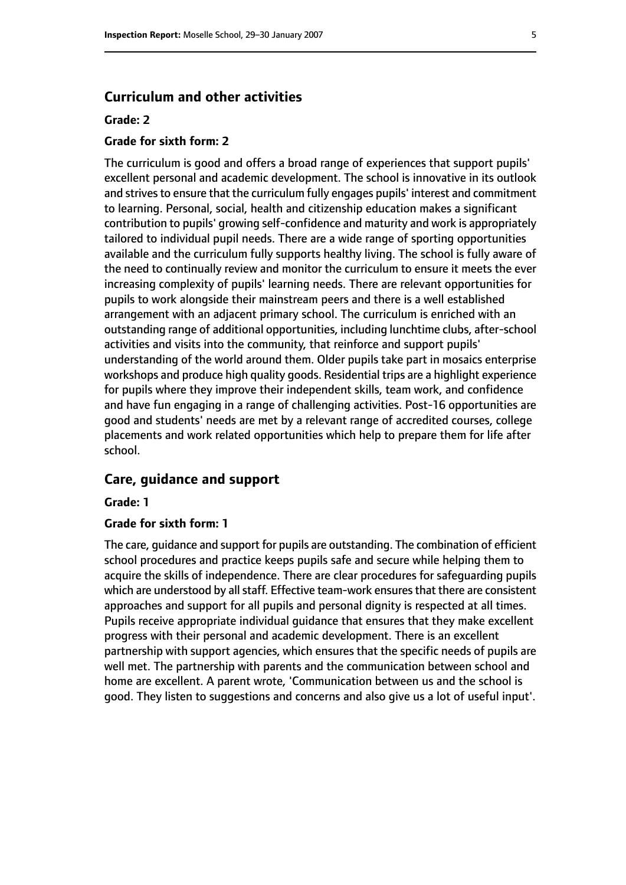#### **Curriculum and other activities**

#### **Grade: 2**

#### **Grade for sixth form: 2**

The curriculum is good and offers a broad range of experiences that support pupils' excellent personal and academic development. The school is innovative in its outlook and strives to ensure that the curriculum fully engages pupils' interest and commitment to learning. Personal, social, health and citizenship education makes a significant contribution to pupils' growing self-confidence and maturity and work is appropriately tailored to individual pupil needs. There are a wide range of sporting opportunities available and the curriculum fully supports healthy living. The school is fully aware of the need to continually review and monitor the curriculum to ensure it meets the ever increasing complexity of pupils' learning needs. There are relevant opportunities for pupils to work alongside their mainstream peers and there is a well established arrangement with an adjacent primary school. The curriculum is enriched with an outstanding range of additional opportunities, including lunchtime clubs, after-school activities and visits into the community, that reinforce and support pupils' understanding of the world around them. Older pupils take part in mosaics enterprise workshops and produce high quality goods. Residential trips are a highlight experience for pupils where they improve their independent skills, team work, and confidence and have fun engaging in a range of challenging activities. Post-16 opportunities are good and students' needs are met by a relevant range of accredited courses, college placements and work related opportunities which help to prepare them for life after school.

#### **Care, guidance and support**

#### **Grade: 1**

#### **Grade for sixth form: 1**

The care, guidance and support for pupils are outstanding. The combination of efficient school procedures and practice keeps pupils safe and secure while helping them to acquire the skills of independence. There are clear procedures for safeguarding pupils which are understood by all staff. Effective team-work ensures that there are consistent approaches and support for all pupils and personal dignity is respected at all times. Pupils receive appropriate individual guidance that ensures that they make excellent progress with their personal and academic development. There is an excellent partnership with support agencies, which ensures that the specific needs of pupils are well met. The partnership with parents and the communication between school and home are excellent. A parent wrote, 'Communication between us and the school is good. They listen to suggestions and concerns and also give us a lot of useful input'.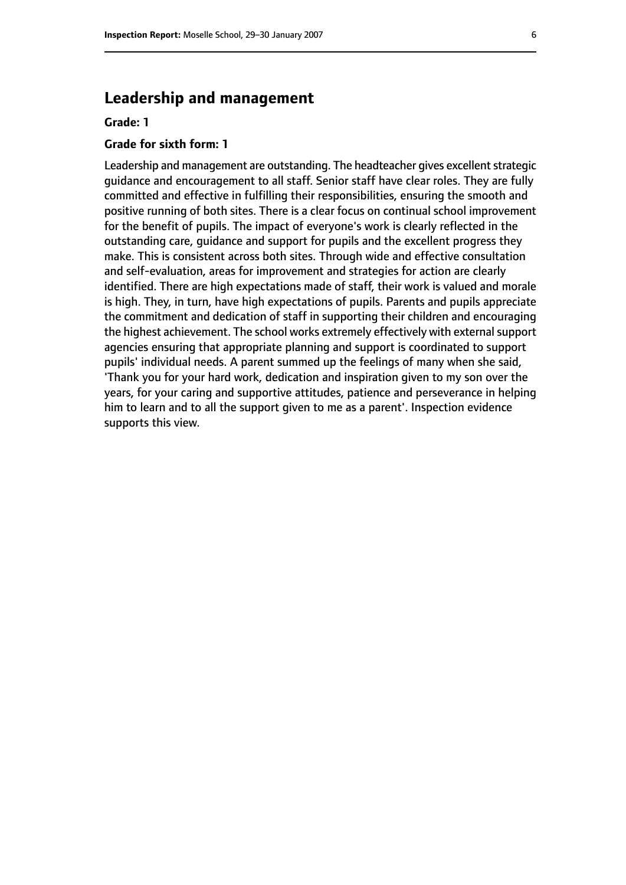## **Leadership and management**

#### **Grade: 1**

#### **Grade for sixth form: 1**

Leadership and management are outstanding. The headteacher gives excellent strategic guidance and encouragement to all staff. Senior staff have clear roles. They are fully committed and effective in fulfilling their responsibilities, ensuring the smooth and positive running of both sites. There is a clear focus on continual school improvement for the benefit of pupils. The impact of everyone's work is clearly reflected in the outstanding care, guidance and support for pupils and the excellent progress they make. This is consistent across both sites. Through wide and effective consultation and self-evaluation, areas for improvement and strategies for action are clearly identified. There are high expectations made of staff, their work is valued and morale is high. They, in turn, have high expectations of pupils. Parents and pupils appreciate the commitment and dedication of staff in supporting their children and encouraging the highest achievement. The school works extremely effectively with external support agencies ensuring that appropriate planning and support is coordinated to support pupils' individual needs. A parent summed up the feelings of many when she said, 'Thank you for your hard work, dedication and inspiration given to my son over the years, for your caring and supportive attitudes, patience and perseverance in helping him to learn and to all the support given to me as a parent'. Inspection evidence supports this view.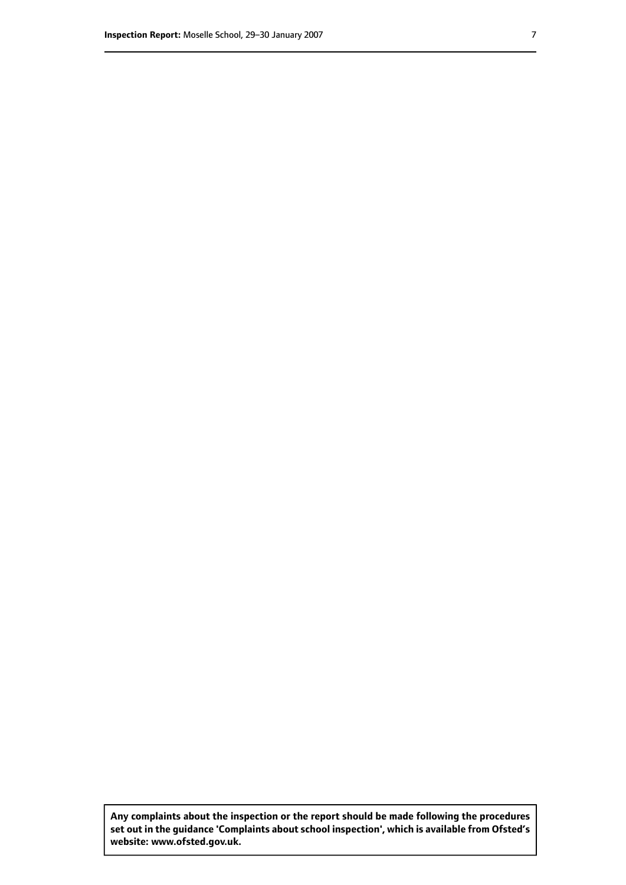**Any complaints about the inspection or the report should be made following the procedures set out inthe guidance 'Complaints about school inspection', whichis available from Ofsted's website: www.ofsted.gov.uk.**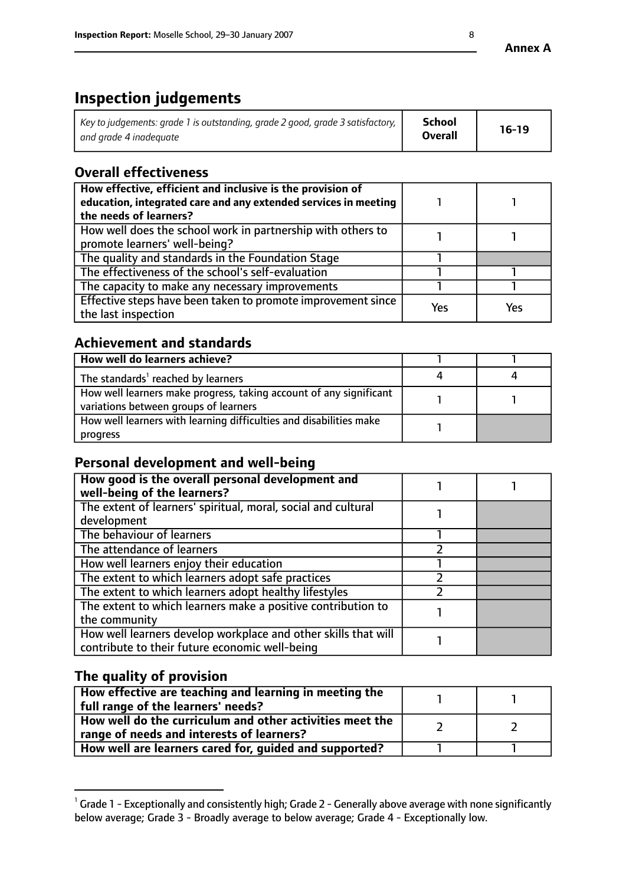# **Inspection judgements**

| $^\text{!}$ Key to judgements: grade 1 is outstanding, grade 2 good, grade 3 satisfactory, $\,$ $\,$ $\,$ | School         | $16-19$ |
|-----------------------------------------------------------------------------------------------------------|----------------|---------|
| and grade 4 inadeguate                                                                                    | <b>Overall</b> |         |

# **Overall effectiveness**

| How effective, efficient and inclusive is the provision of<br>education, integrated care and any extended services in meeting<br>the needs of learners? |     |     |
|---------------------------------------------------------------------------------------------------------------------------------------------------------|-----|-----|
| How well does the school work in partnership with others to<br>promote learners' well-being?                                                            |     |     |
| The quality and standards in the Foundation Stage                                                                                                       |     |     |
| The effectiveness of the school's self-evaluation                                                                                                       |     |     |
| The capacity to make any necessary improvements                                                                                                         |     |     |
| Effective steps have been taken to promote improvement since<br>the last inspection                                                                     | Yes | Yes |

# **Achievement and standards**

| How well do learners achieve?                                                                               |  |
|-------------------------------------------------------------------------------------------------------------|--|
| The standards <sup>1</sup> reached by learners                                                              |  |
| How well learners make progress, taking account of any significant<br>variations between groups of learners |  |
| How well learners with learning difficulties and disabilities make<br>progress                              |  |

## **Personal development and well-being**

| How good is the overall personal development and               |  |
|----------------------------------------------------------------|--|
| well-being of the learners?                                    |  |
| The extent of learners' spiritual, moral, social and cultural  |  |
| development                                                    |  |
| The behaviour of learners                                      |  |
| The attendance of learners                                     |  |
| How well learners enjoy their education                        |  |
| The extent to which learners adopt safe practices              |  |
| The extent to which learners adopt healthy lifestyles          |  |
| The extent to which learners make a positive contribution to   |  |
| the community                                                  |  |
| How well learners develop workplace and other skills that will |  |
| contribute to their future economic well-being                 |  |

## **The quality of provision**

| How effective are teaching and learning in meeting the<br>full range of the learners' needs?          |  |
|-------------------------------------------------------------------------------------------------------|--|
| How well do the curriculum and other activities meet the<br>range of needs and interests of learners? |  |
| How well are learners cared for, guided and supported?                                                |  |

 $^1$  Grade 1 - Exceptionally and consistently high; Grade 2 - Generally above average with none significantly below average; Grade 3 - Broadly average to below average; Grade 4 - Exceptionally low.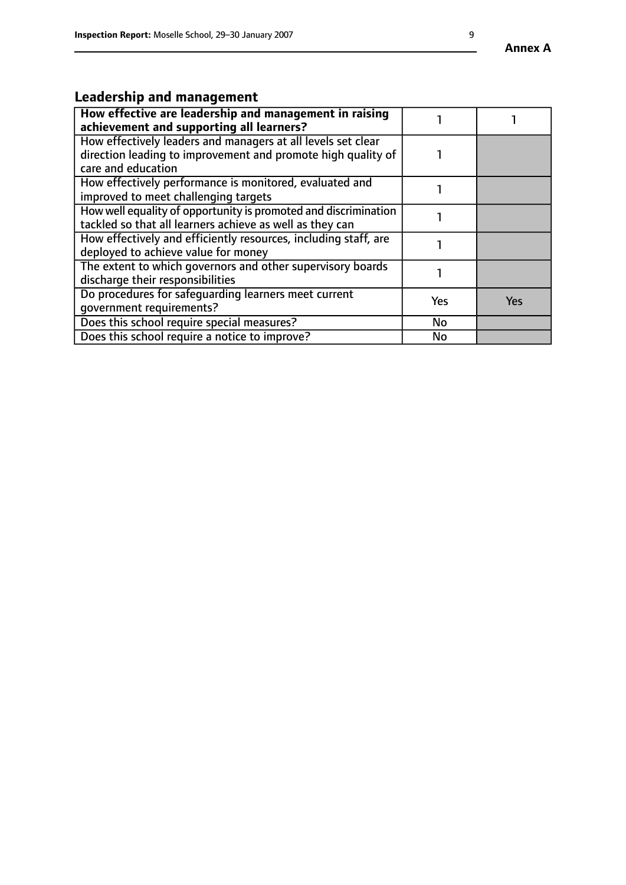# **Leadership and management**

| How effective are leadership and management in raising<br>achievement and supporting all learners?                                                 |     |            |
|----------------------------------------------------------------------------------------------------------------------------------------------------|-----|------------|
| How effectively leaders and managers at all levels set clear<br>direction leading to improvement and promote high quality of<br>care and education |     |            |
| How effectively performance is monitored, evaluated and<br>improved to meet challenging targets                                                    |     |            |
| How well equality of opportunity is promoted and discrimination<br>tackled so that all learners achieve as well as they can                        |     |            |
| How effectively and efficiently resources, including staff, are<br>deployed to achieve value for money                                             |     |            |
| The extent to which governors and other supervisory boards<br>discharge their responsibilities                                                     |     |            |
| Do procedures for safequarding learners meet current<br>qovernment requirements?                                                                   | Yes | <b>Yes</b> |
| Does this school require special measures?                                                                                                         | No  |            |
| Does this school require a notice to improve?                                                                                                      | No  |            |